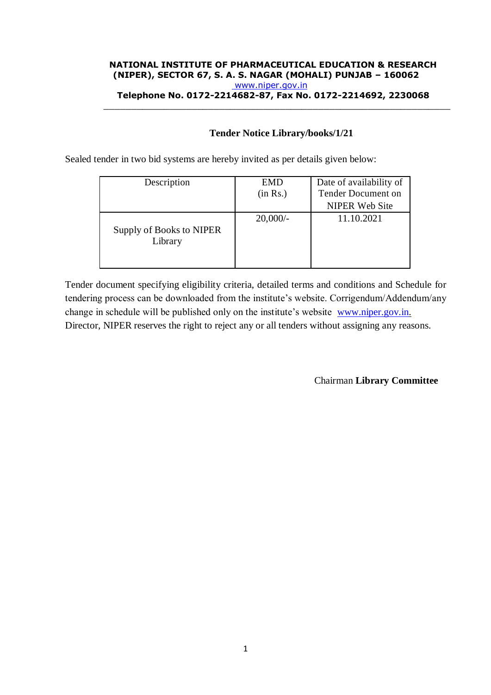#### **NATIONAL INSTITUTE OF PHARMACEUTICAL EDUCATION & RESEARCH (NIPER), SECTOR 67, S. A. S. NAGAR (MOHALI) PUNJAB – 160062** [www.niper.gov.in](http://www.niper.gov.in/) **Telephone No. 0172-2214682-87, Fax No. 0172-2214692, 2230068**

\_\_\_\_\_\_\_\_\_\_\_\_\_\_\_\_\_\_\_\_\_\_\_\_\_\_\_\_\_\_\_\_\_\_\_\_\_\_\_\_\_\_\_\_\_\_\_\_\_\_\_\_\_\_\_\_\_\_\_\_\_\_\_

#### **Tender Notice Library/books/1/21**

Sealed tender in two bid systems are hereby invited as per details given below:

| Description                         | <b>EMD</b> | Date of availability of |
|-------------------------------------|------------|-------------------------|
|                                     | (in Rs.)   | Tender Document on      |
|                                     |            | <b>NIPER Web Site</b>   |
| Supply of Books to NIPER<br>Library | $20,000/-$ | 11.10.2021              |

Tender document specifying eligibility criteria, detailed terms and conditions and Schedule for tendering process can be downloaded from the institute's website. Corrigendum/Addendum/any change in schedule will be published only on the institute's website [www.niper.gov.in.](http://www.niper.gov.in/) Director, NIPER reserves the right to reject any or all tenders without assigning any reasons.

Chairman **Library Committee**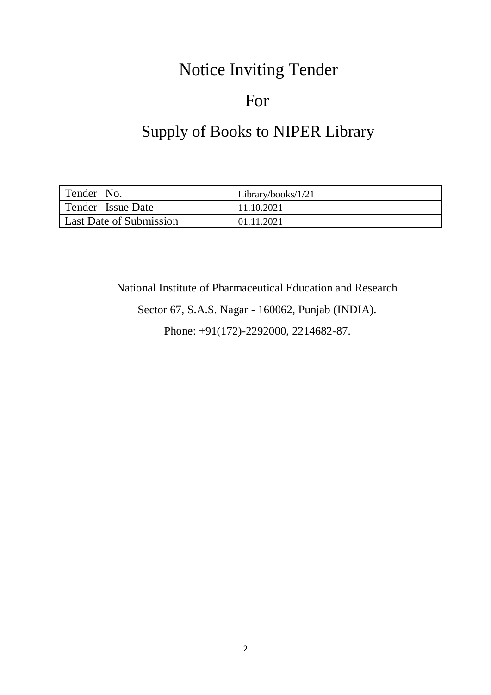# Notice Inviting Tender

# For

# Supply of Books to NIPER Library

| Tender No.              | Library/books/ $1/21$ |
|-------------------------|-----------------------|
| Tender Issue Date       | 11.10.2021            |
| Last Date of Submission | 01.11.2021            |

National Institute of Pharmaceutical Education and Research

Sector 67, S.A.S. Nagar - 160062, Punjab (INDIA).

Phone: +91(172)-2292000, 2214682-87.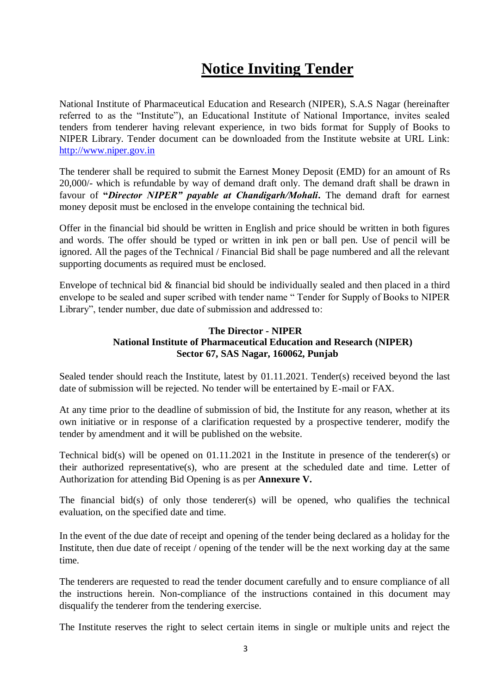# **Notice Inviting Tender**

National Institute of Pharmaceutical Education and Research (NIPER), S.A.S Nagar (hereinafter referred to as the "Institute"), an Educational Institute of National Importance, invites sealed tenders from tenderer having relevant experience, in two bids format for Supply of Books to NIPER Library. Tender document can be downloaded from the Institute website at URL Link: [http://www.niper.gov.in](http://www.niper.gov.in/)

The tenderer shall be required to submit the Earnest Money Deposit (EMD) for an amount of Rs 20,000/- which is refundable by way of demand draft only. The demand draft shall be drawn in favour of **"***Director NIPER" payable at Chandigarh/Mohali***.** The demand draft for earnest money deposit must be enclosed in the envelope containing the technical bid.

Offer in the financial bid should be written in English and price should be written in both figures and words. The offer should be typed or written in ink pen or ball pen. Use of pencil will be ignored. All the pages of the Technical / Financial Bid shall be page numbered and all the relevant supporting documents as required must be enclosed.

Envelope of technical bid & financial bid should be individually sealed and then placed in a third envelope to be sealed and super scribed with tender name " Tender for Supply of Books to NIPER Library", tender number, due date of submission and addressed to:

#### **The Director - NIPER National Institute of Pharmaceutical Education and Research (NIPER) Sector 67, SAS Nagar, 160062, Punjab**

Sealed tender should reach the Institute, latest by 01.11.2021. Tender(s) received beyond the last date of submission will be rejected. No tender will be entertained by E-mail or FAX.

At any time prior to the deadline of submission of bid, the Institute for any reason, whether at its own initiative or in response of a clarification requested by a prospective tenderer, modify the tender by amendment and it will be published on the website.

Technical bid(s) will be opened on 01.11.2021 in the Institute in presence of the tenderer(s) or their authorized representative(s), who are present at the scheduled date and time. Letter of Authorization for attending Bid Opening is as per **Annexure V.**

The financial bid(s) of only those tenderer(s) will be opened, who qualifies the technical evaluation, on the specified date and time.

In the event of the due date of receipt and opening of the tender being declared as a holiday for the Institute, then due date of receipt / opening of the tender will be the next working day at the same time.

The tenderers are requested to read the tender document carefully and to ensure compliance of all the instructions herein. Non-compliance of the instructions contained in this document may disqualify the tenderer from the tendering exercise.

The Institute reserves the right to select certain items in single or multiple units and reject the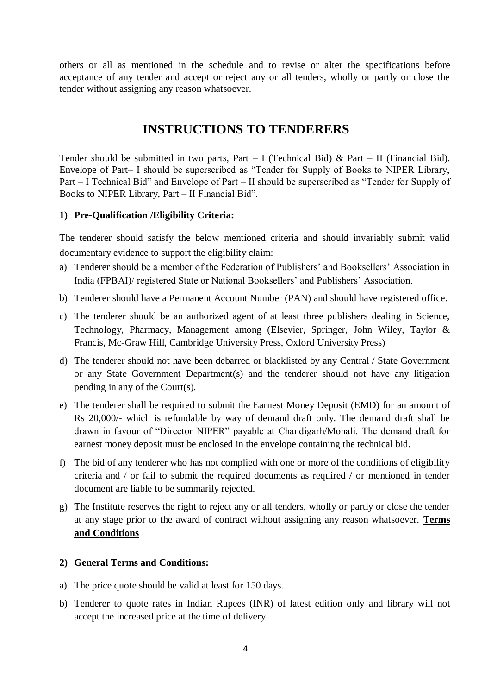others or all as mentioned in the schedule and to revise or alter the specifications before acceptance of any tender and accept or reject any or all tenders, wholly or partly or close the tender without assigning any reason whatsoever.

### **INSTRUCTIONS TO TENDERERS**

Tender should be submitted in two parts, Part – I (Technical Bid) & Part – II (Financial Bid). Envelope of Part– I should be superscribed as "Tender for Supply of Books to NIPER Library, Part – I Technical Bid" and Envelope of Part – II should be superscribed as "Tender for Supply of Books to NIPER Library, Part – II Financial Bid".

#### **1) Pre-Qualification /Eligibility Criteria:**

The tenderer should satisfy the below mentioned criteria and should invariably submit valid documentary evidence to support the eligibility claim:

- a) Tenderer should be a member of the Federation of Publishers' and Booksellers' Association in India (FPBAI)/ registered State or National Booksellers' and Publishers' Association.
- b) Tenderer should have a Permanent Account Number (PAN) and should have registered office.
- c) The tenderer should be an authorized agent of at least three publishers dealing in Science, Technology, Pharmacy, Management among (Elsevier, Springer, John Wiley, Taylor & Francis, Mc-Graw Hill, Cambridge University Press, Oxford University Press)
- d) The tenderer should not have been debarred or blacklisted by any Central / State Government or any State Government Department(s) and the tenderer should not have any litigation pending in any of the Court(s).
- e) The tenderer shall be required to submit the Earnest Money Deposit (EMD) for an amount of Rs 20,000/- which is refundable by way of demand draft only. The demand draft shall be drawn in favour of "Director NIPER" payable at Chandigarh/Mohali. The demand draft for earnest money deposit must be enclosed in the envelope containing the technical bid.
- f) The bid of any tenderer who has not complied with one or more of the conditions of eligibility criteria and / or fail to submit the required documents as required / or mentioned in tender document are liable to be summarily rejected.
- g) The Institute reserves the right to reject any or all tenders, wholly or partly or close the tender at any stage prior to the award of contract without assigning any reason whatsoever. T**erms and Conditions**

#### **2) General Terms and Conditions:**

- a) The price quote should be valid at least for 150 days.
- b) Tenderer to quote rates in Indian Rupees (INR) of latest edition only and library will not accept the increased price at the time of delivery.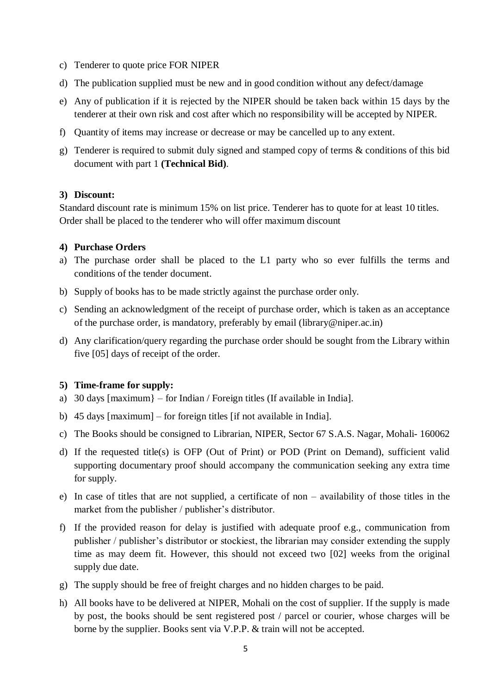- c) Tenderer to quote price FOR NIPER
- d) The publication supplied must be new and in good condition without any defect/damage
- e) Any of publication if it is rejected by the NIPER should be taken back within 15 days by the tenderer at their own risk and cost after which no responsibility will be accepted by NIPER.
- f) Quantity of items may increase or decrease or may be cancelled up to any extent.
- g) Tenderer is required to submit duly signed and stamped copy of terms & conditions of this bid document with part 1 **(Technical Bid)**.

#### **3) Discount:**

Standard discount rate is minimum 15% on list price. Tenderer has to quote for at least 10 titles. Order shall be placed to the tenderer who will offer maximum discount

#### **4) Purchase Orders**

- a) The purchase order shall be placed to the L1 party who so ever fulfills the terms and conditions of the tender document.
- b) Supply of books has to be made strictly against the purchase order only.
- c) Sending an acknowledgment of the receipt of purchase order, which is taken as an acceptance of the purchase order, is mandatory, preferably by email (library@niper.ac.in)
- d) Any clarification/query regarding the purchase order should be sought from the Library within five [05] days of receipt of the order.

#### **5) Time-frame for supply:**

- a) 30 days [maximum} for Indian / Foreign titles (If available in India].
- b) 45 days [maximum] for foreign titles [if not available in India].
- c) The Books should be consigned to Librarian, NIPER, Sector 67 S.A.S. Nagar, Mohali- 160062
- d) If the requested title(s) is OFP (Out of Print) or POD (Print on Demand), sufficient valid supporting documentary proof should accompany the communication seeking any extra time for supply.
- e) In case of titles that are not supplied, a certificate of non availability of those titles in the market from the publisher / publisher's distributor.
- f) If the provided reason for delay is justified with adequate proof e.g., communication from publisher / publisher's distributor or stockiest, the librarian may consider extending the supply time as may deem fit. However, this should not exceed two [02] weeks from the original supply due date.
- g) The supply should be free of freight charges and no hidden charges to be paid.
- h) All books have to be delivered at NIPER, Mohali on the cost of supplier. If the supply is made by post, the books should be sent registered post / parcel or courier, whose charges will be borne by the supplier. Books sent via V.P.P. & train will not be accepted.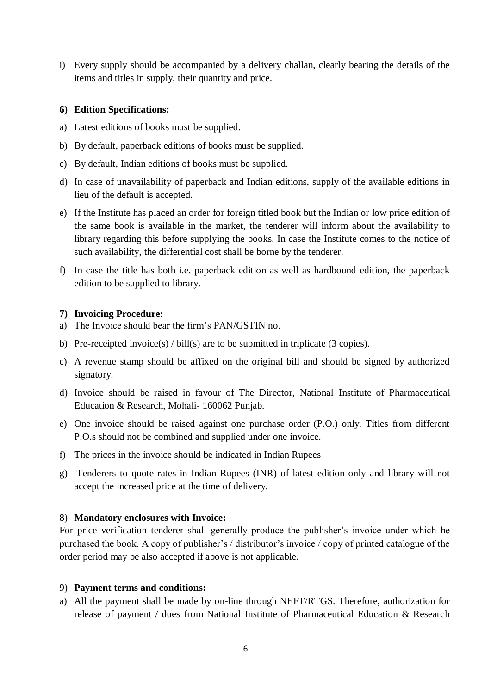i) Every supply should be accompanied by a delivery challan, clearly bearing the details of the items and titles in supply, their quantity and price.

#### **6) Edition Specifications:**

- a) Latest editions of books must be supplied.
- b) By default, paperback editions of books must be supplied.
- c) By default, Indian editions of books must be supplied.
- d) In case of unavailability of paperback and Indian editions, supply of the available editions in lieu of the default is accepted.
- e) If the Institute has placed an order for foreign titled book but the Indian or low price edition of the same book is available in the market, the tenderer will inform about the availability to library regarding this before supplying the books. In case the Institute comes to the notice of such availability, the differential cost shall be borne by the tenderer.
- f) In case the title has both i.e. paperback edition as well as hardbound edition, the paperback edition to be supplied to library.

#### **7) Invoicing Procedure:**

- a) The Invoice should bear the firm's PAN/GSTIN no.
- b) Pre-receipted invoice(s) / bill(s) are to be submitted in triplicate (3 copies).
- c) A revenue stamp should be affixed on the original bill and should be signed by authorized signatory.
- d) Invoice should be raised in favour of The Director, National Institute of Pharmaceutical Education & Research, Mohali- 160062 Punjab.
- e) One invoice should be raised against one purchase order (P.O.) only. Titles from different P.O.s should not be combined and supplied under one invoice.
- f) The prices in the invoice should be indicated in Indian Rupees
- g) Tenderers to quote rates in Indian Rupees (INR) of latest edition only and library will not accept the increased price at the time of delivery.

#### 8) **Mandatory enclosures with Invoice:**

For price verification tenderer shall generally produce the publisher's invoice under which he purchased the book. A copy of publisher's / distributor's invoice / copy of printed catalogue of the order period may be also accepted if above is not applicable.

#### 9) **Payment terms and conditions:**

a) All the payment shall be made by on-line through NEFT/RTGS. Therefore, authorization for release of payment / dues from National Institute of Pharmaceutical Education & Research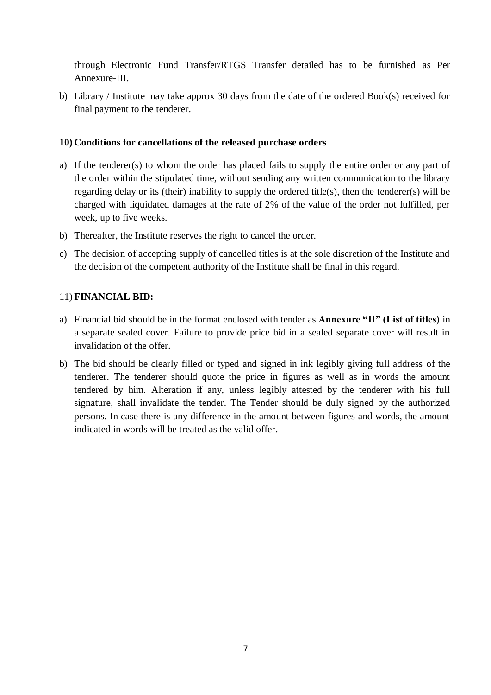through Electronic Fund Transfer/RTGS Transfer detailed has to be furnished as Per Annexure-III.

b) Library / Institute may take approx 30 days from the date of the ordered Book(s) received for final payment to the tenderer.

#### **10) Conditions for cancellations of the released purchase orders**

- a) If the tenderer(s) to whom the order has placed fails to supply the entire order or any part of the order within the stipulated time, without sending any written communication to the library regarding delay or its (their) inability to supply the ordered title(s), then the tenderer(s) will be charged with liquidated damages at the rate of 2% of the value of the order not fulfilled, per week, up to five weeks.
- b) Thereafter, the Institute reserves the right to cancel the order.
- c) The decision of accepting supply of cancelled titles is at the sole discretion of the Institute and the decision of the competent authority of the Institute shall be final in this regard.

#### 11) **FINANCIAL BID:**

- a) Financial bid should be in the format enclosed with tender as **Annexure "II" (List of titles)** in a separate sealed cover. Failure to provide price bid in a sealed separate cover will result in invalidation of the offer.
- b) The bid should be clearly filled or typed and signed in ink legibly giving full address of the tenderer. The tenderer should quote the price in figures as well as in words the amount tendered by him. Alteration if any, unless legibly attested by the tenderer with his full signature, shall invalidate the tender. The Tender should be duly signed by the authorized persons. In case there is any difference in the amount between figures and words, the amount indicated in words will be treated as the valid offer.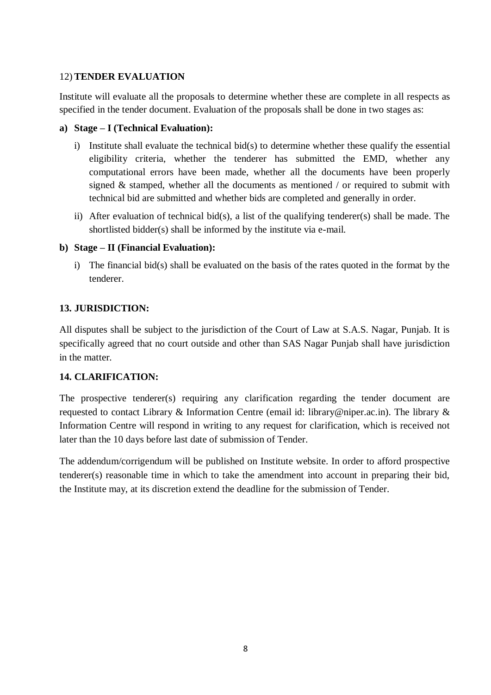#### 12) **TENDER EVALUATION**

Institute will evaluate all the proposals to determine whether these are complete in all respects as specified in the tender document. Evaluation of the proposals shall be done in two stages as:

#### **a) Stage – I (Technical Evaluation):**

- i) Institute shall evaluate the technical bid(s) to determine whether these qualify the essential eligibility criteria, whether the tenderer has submitted the EMD, whether any computational errors have been made, whether all the documents have been properly signed & stamped, whether all the documents as mentioned / or required to submit with technical bid are submitted and whether bids are completed and generally in order.
- ii) After evaluation of technical bid(s), a list of the qualifying tenderer(s) shall be made. The shortlisted bidder(s) shall be informed by the institute via e-mail.

#### **b) Stage – II (Financial Evaluation):**

i) The financial bid(s) shall be evaluated on the basis of the rates quoted in the format by the tenderer.

#### **13. JURISDICTION:**

All disputes shall be subject to the jurisdiction of the Court of Law at S.A.S. Nagar, Punjab. It is specifically agreed that no court outside and other than SAS Nagar Punjab shall have jurisdiction in the matter.

#### **14. CLARIFICATION:**

The prospective tenderer(s) requiring any clarification regarding the tender document are requested to contact Library & Information Centre (email id: library@niper.ac.in). The library & Information Centre will respond in writing to any request for clarification, which is received not later than the 10 days before last date of submission of Tender.

The addendum/corrigendum will be published on Institute website. In order to afford prospective tenderer(s) reasonable time in which to take the amendment into account in preparing their bid, the Institute may, at its discretion extend the deadline for the submission of Tender.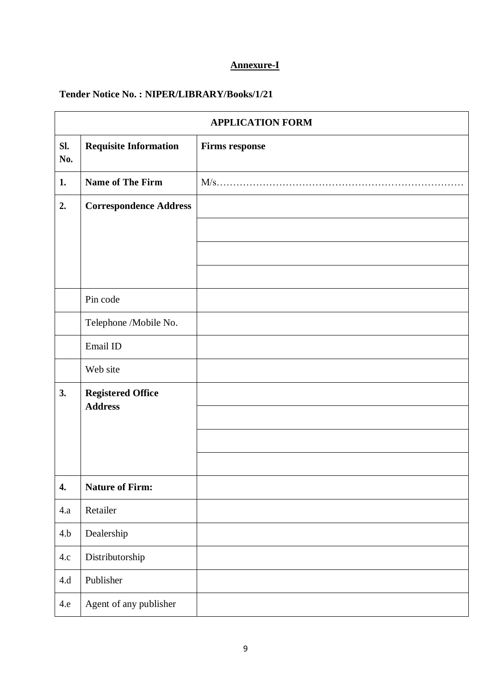#### **Annexure-I**

### **Tender Notice No. : NIPER/LIBRARY/Books/1/21**

|            | <b>APPLICATION FORM</b>       |                       |  |  |  |  |
|------------|-------------------------------|-----------------------|--|--|--|--|
| SI.<br>No. | <b>Requisite Information</b>  | <b>Firms response</b> |  |  |  |  |
| 1.         | Name of The Firm              | $M/s$                 |  |  |  |  |
| 2.         | <b>Correspondence Address</b> |                       |  |  |  |  |
|            |                               |                       |  |  |  |  |
|            |                               |                       |  |  |  |  |
|            |                               |                       |  |  |  |  |
|            | Pin code                      |                       |  |  |  |  |
|            | Telephone /Mobile No.         |                       |  |  |  |  |
|            | Email ID                      |                       |  |  |  |  |
|            | Web site                      |                       |  |  |  |  |
| 3.         | <b>Registered Office</b>      |                       |  |  |  |  |
|            | <b>Address</b>                |                       |  |  |  |  |
|            |                               |                       |  |  |  |  |
|            |                               |                       |  |  |  |  |
| 4.         | <b>Nature of Firm:</b>        |                       |  |  |  |  |
| 4.a        | Retailer                      |                       |  |  |  |  |
| 4.b        | Dealership                    |                       |  |  |  |  |
| 4.c        | Distributorship               |                       |  |  |  |  |
| 4.d        | Publisher                     |                       |  |  |  |  |
| 4.e        | Agent of any publisher        |                       |  |  |  |  |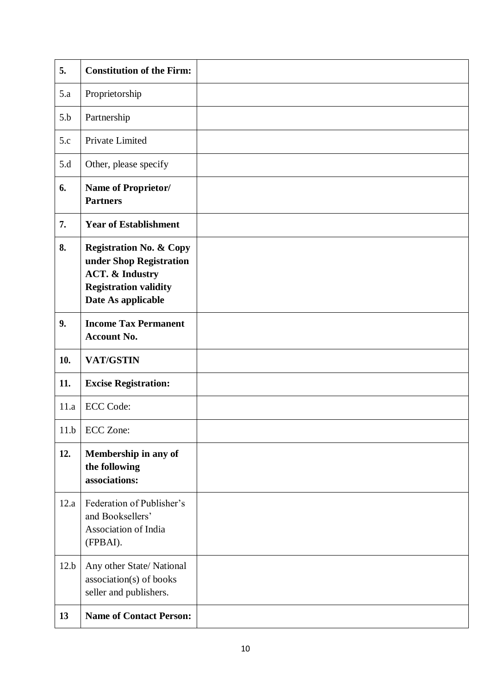| 5.   | <b>Constitution of the Firm:</b>                                                                                                                  |  |
|------|---------------------------------------------------------------------------------------------------------------------------------------------------|--|
| 5.a  | Proprietorship                                                                                                                                    |  |
| 5.b  | Partnership                                                                                                                                       |  |
| 5.c  | Private Limited                                                                                                                                   |  |
| 5.d  | Other, please specify                                                                                                                             |  |
| 6.   | Name of Proprietor/<br><b>Partners</b>                                                                                                            |  |
| 7.   | <b>Year of Establishment</b>                                                                                                                      |  |
| 8.   | <b>Registration No. &amp; Copy</b><br>under Shop Registration<br><b>ACT. &amp; Industry</b><br><b>Registration validity</b><br>Date As applicable |  |
| 9.   | <b>Income Tax Permanent</b><br><b>Account No.</b>                                                                                                 |  |
| 10.  | <b>VAT/GSTIN</b>                                                                                                                                  |  |
| 11.  | <b>Excise Registration:</b>                                                                                                                       |  |
| 11.a | <b>ECC Code:</b>                                                                                                                                  |  |
|      | 11.b   ECC Zone:                                                                                                                                  |  |
| 12.  | Membership in any of<br>the following<br>associations:                                                                                            |  |
| 12.a | Federation of Publisher's<br>and Booksellers'<br>Association of India<br>(FPBAI).                                                                 |  |
| 12.b | Any other State/National<br>association(s) of books<br>seller and publishers.                                                                     |  |
| 13   | <b>Name of Contact Person:</b>                                                                                                                    |  |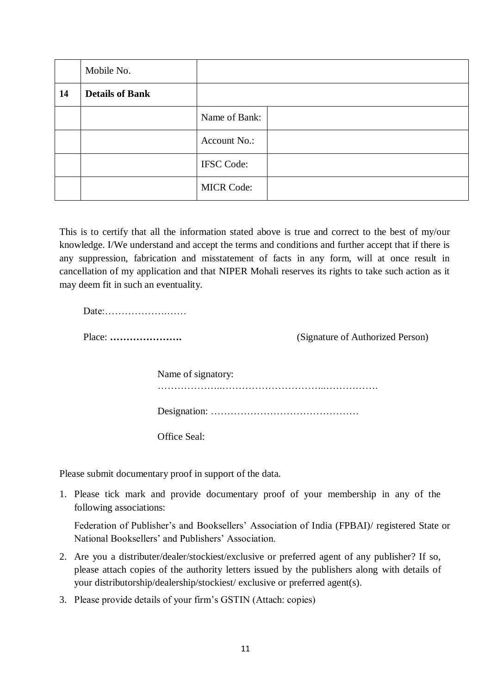|    | Mobile No.             |                   |  |
|----|------------------------|-------------------|--|
| 14 | <b>Details of Bank</b> |                   |  |
|    |                        | Name of Bank:     |  |
|    |                        | Account No.:      |  |
|    |                        | <b>IFSC Code:</b> |  |
|    |                        | <b>MICR Code:</b> |  |

This is to certify that all the information stated above is true and correct to the best of my/our knowledge. I/We understand and accept the terms and conditions and further accept that if there is any suppression, fabrication and misstatement of facts in any form, will at once result in cancellation of my application and that NIPER Mohali reserves its rights to take such action as it may deem fit in such an eventuality.

Date:……………….……

Place: **………………….** (Signature of Authorized Person)

Name of signatory: ………………..…………………………..……………. Designation: ………………………………………

Office Seal:

Please submit documentary proof in support of the data.

1. Please tick mark and provide documentary proof of your membership in any of the following associations:

Federation of Publisher's and Booksellers' Association of India (FPBAI)/ registered State or National Booksellers' and Publishers' Association.

- 2. Are you a distributer/dealer/stockiest/exclusive or preferred agent of any publisher? If so, please attach copies of the authority letters issued by the publishers along with details of your distributorship/dealership/stockiest/ exclusive or preferred agent(s).
- 3. Please provide details of your firm's GSTIN (Attach: copies)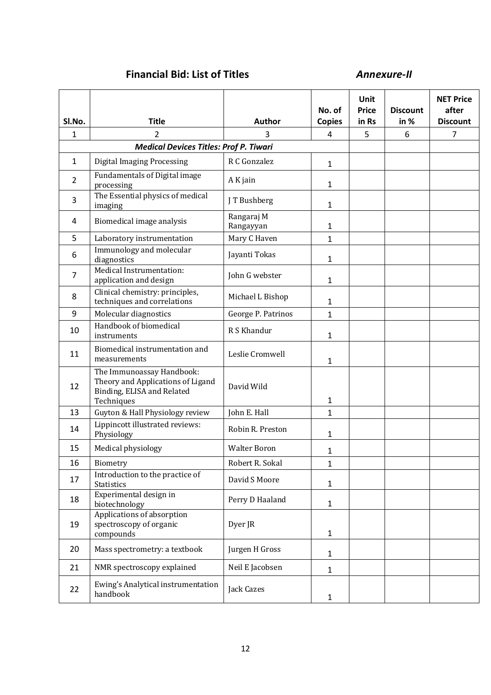### **Financial Bid: List of Titles** *Annexure-II*

| Sl.No.         | <b>Title</b>                                                                                               | Author                  | No. of<br><b>Copies</b> | Unit<br><b>Price</b><br>in Rs | <b>Discount</b><br>in % | <b>NET Price</b><br>after<br><b>Discount</b> |
|----------------|------------------------------------------------------------------------------------------------------------|-------------------------|-------------------------|-------------------------------|-------------------------|----------------------------------------------|
| 1              | 2                                                                                                          | 3                       | 4                       | 5                             | 6                       | $\overline{7}$                               |
|                | <b>Medical Devices Titles: Prof P. Tiwari</b>                                                              |                         |                         |                               |                         |                                              |
| $\mathbf{1}$   | <b>Digital Imaging Processing</b>                                                                          | R C Gonzalez            | 1                       |                               |                         |                                              |
| $\overline{2}$ | Fundamentals of Digital image<br>processing                                                                | A K jain                | 1                       |                               |                         |                                              |
| 3              | The Essential physics of medical<br>imaging                                                                | J T Bushberg            | 1                       |                               |                         |                                              |
| 4              | Biomedical image analysis                                                                                  | Rangaraj M<br>Rangayyan | 1                       |                               |                         |                                              |
| 5              | Laboratory instrumentation                                                                                 | Mary C Haven            | $\mathbf{1}$            |                               |                         |                                              |
| 6              | Immunology and molecular<br>diagnostics                                                                    | Jayanti Tokas           | 1                       |                               |                         |                                              |
| 7              | Medical Instrumentation:<br>application and design                                                         | John G webster          | 1                       |                               |                         |                                              |
| 8              | Clinical chemistry: principles,<br>techniques and correlations                                             | Michael L Bishop        | 1                       |                               |                         |                                              |
| 9              | Molecular diagnostics                                                                                      | George P. Patrinos      | $\mathbf 1$             |                               |                         |                                              |
| 10             | Handbook of biomedical<br>instruments                                                                      | R S Khandur             | 1                       |                               |                         |                                              |
| 11             | Biomedical instrumentation and<br>measurements                                                             | Leslie Cromwell         | 1                       |                               |                         |                                              |
| 12             | The Immunoassay Handbook:<br>Theory and Applications of Ligand<br>Binding, ELISA and Related<br>Techniques | David Wild              | 1                       |                               |                         |                                              |
| 13             | Guyton & Hall Physiology review                                                                            | John E. Hall            | 1                       |                               |                         |                                              |
| 14             | Lippincott illustrated reviews:<br>Physiology                                                              | Robin R. Preston        | 1                       |                               |                         |                                              |
| 15             | Medical physiology                                                                                         | <b>Walter Boron</b>     | 1                       |                               |                         |                                              |
| 16             | Biometry                                                                                                   | Robert R. Sokal         | 1                       |                               |                         |                                              |
| 17             | Introduction to the practice of<br><b>Statistics</b>                                                       | David S Moore           | 1                       |                               |                         |                                              |
| 18             | Experimental design in<br>biotechnology                                                                    | Perry D Haaland         | $\mathbf{1}$            |                               |                         |                                              |
| 19             | Applications of absorption<br>spectroscopy of organic<br>compounds                                         | Dyer JR                 | 1                       |                               |                         |                                              |
| 20             | Mass spectrometry: a textbook                                                                              | Jurgen H Gross          | $\mathbf{1}$            |                               |                         |                                              |
| 21             | NMR spectroscopy explained                                                                                 | Neil E Jacobsen         | 1                       |                               |                         |                                              |
| 22             | Ewing's Analytical instrumentation<br>handbook                                                             | Jack Cazes              | 1                       |                               |                         |                                              |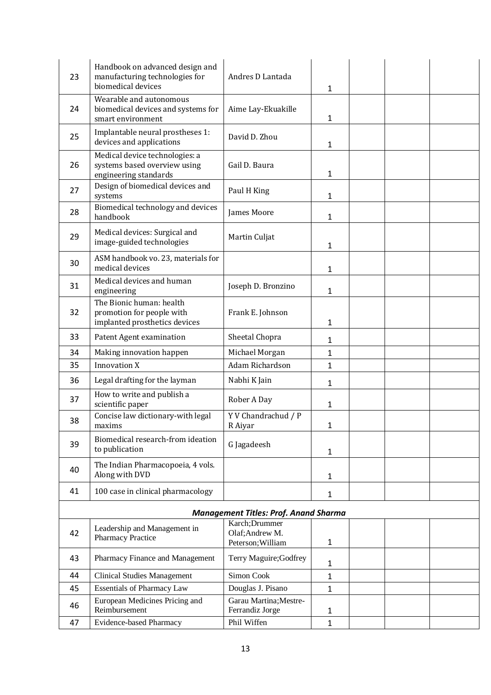| 23 | Handbook on advanced design and<br>manufacturing technologies for<br>biomedical devices | Andres D Lantada                             | 1            |  |  |
|----|-----------------------------------------------------------------------------------------|----------------------------------------------|--------------|--|--|
| 24 | Wearable and autonomous<br>biomedical devices and systems for<br>smart environment      | Aime Lay-Ekuakille                           | 1            |  |  |
| 25 | Implantable neural prostheses 1:<br>devices and applications                            | David D. Zhou                                | 1            |  |  |
| 26 | Medical device technologies: a<br>systems based overview using<br>engineering standards | Gail D. Baura                                | 1            |  |  |
| 27 | Design of biomedical devices and<br>systems                                             | Paul H King                                  | 1            |  |  |
| 28 | Biomedical technology and devices<br>handbook                                           | James Moore                                  | 1            |  |  |
| 29 | Medical devices: Surgical and<br>image-guided technologies                              | Martin Culjat                                | 1            |  |  |
| 30 | ASM handbook vo. 23, materials for<br>medical devices                                   |                                              | 1            |  |  |
| 31 | Medical devices and human<br>engineering                                                | Joseph D. Bronzino                           | 1            |  |  |
| 32 | The Bionic human: health<br>promotion for people with<br>implanted prosthetics devices  | Frank E. Johnson                             | 1            |  |  |
| 33 | Patent Agent examination                                                                | Sheetal Chopra                               | 1            |  |  |
| 34 | Making innovation happen                                                                | Michael Morgan                               | 1            |  |  |
| 35 | <b>Innovation X</b>                                                                     | Adam Richardson                              | 1            |  |  |
| 36 | Legal drafting for the layman                                                           | Nabhi K Jain                                 | 1            |  |  |
| 37 | How to write and publish a<br>scientific paper                                          | Rober A Day                                  | $\mathbf{1}$ |  |  |
| 38 | Concise law dictionary-with legal<br>maxims                                             | Y V Chandrachud / P<br>R Aiyar               | 1            |  |  |
| 39 | Biomedical research-from ideation<br>to publication                                     | G Jagadeesh                                  | $\mathbf{1}$ |  |  |
| 40 | The Indian Pharmacopoeia, 4 vols.<br>Along with DVD                                     |                                              | 1            |  |  |
| 41 | 100 case in clinical pharmacology                                                       |                                              | $\mathbf{1}$ |  |  |
|    |                                                                                         | <b>Management Titles: Prof. Anand Sharma</b> |              |  |  |
|    | Leadership and Management in                                                            | Karch; Drummer                               |              |  |  |
| 42 | Pharmacy Practice                                                                       | Olaf; Andrew M.<br>Peterson; William         | 1            |  |  |
| 43 | Pharmacy Finance and Management                                                         | Terry Maguire; Godfrey                       | $\mathbf{1}$ |  |  |
| 44 | <b>Clinical Studies Management</b>                                                      | Simon Cook                                   | $\mathbf{1}$ |  |  |
| 45 | <b>Essentials of Pharmacy Law</b>                                                       | Douglas J. Pisano                            | $\mathbf{1}$ |  |  |
| 46 | European Medicines Pricing and<br>Reimbursement                                         | Garau Martina; Mestre-<br>Ferrandiz Jorge    | 1            |  |  |
| 47 | <b>Evidence-based Pharmacy</b>                                                          | Phil Wiffen                                  | $\mathbf{1}$ |  |  |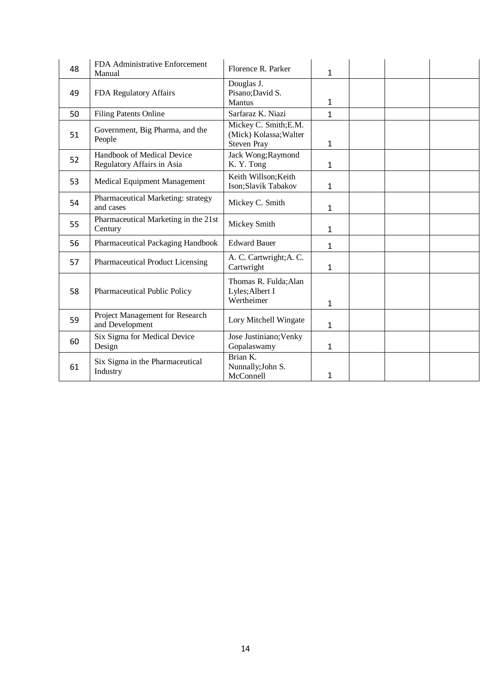| 48 | FDA Administrative Enforcement<br>Manual                 | Florence R. Parker                                                    | $\mathbf{1}$ |  |  |
|----|----------------------------------------------------------|-----------------------------------------------------------------------|--------------|--|--|
| 49 | FDA Regulatory Affairs                                   | Douglas J.<br>Pisano; David S.<br>Mantus                              | 1            |  |  |
| 50 | <b>Filing Patents Online</b>                             | Sarfaraz K. Niazi                                                     | $\mathbf{1}$ |  |  |
| 51 | Government, Big Pharma, and the<br>People                | Mickey C. Smith; E.M.<br>(Mick) Kolassa; Walter<br><b>Steven Pray</b> | 1            |  |  |
| 52 | Handbook of Medical Device<br>Regulatory Affairs in Asia | Jack Wong; Raymond<br>K. Y. Tong                                      | 1            |  |  |
| 53 | Medical Equipment Management                             | Keith Willson; Keith<br>Ison;Slavik Tabakov                           | 1            |  |  |
| 54 | Pharmaceutical Marketing: strategy<br>and cases          | Mickey C. Smith                                                       | 1            |  |  |
| 55 | Pharmaceutical Marketing in the 21st<br>Century          | Mickey Smith                                                          | $\mathbf{1}$ |  |  |
| 56 | Pharmaceutical Packaging Handbook                        | <b>Edward Bauer</b>                                                   | 1            |  |  |
| 57 | Pharmaceutical Product Licensing                         | A. C. Cartwright; A. C.<br>Cartwright                                 | 1            |  |  |
| 58 | <b>Pharmaceutical Public Policy</b>                      | Thomas R. Fulda; Alan<br>Lyles; Albert I<br>Wertheimer                | 1            |  |  |
| 59 | Project Management for Research<br>and Development       | Lory Mitchell Wingate                                                 | 1            |  |  |
| 60 | Six Sigma for Medical Device<br>Design                   | Jose Justiniano; Venky<br>Gopalaswamy                                 | 1            |  |  |
| 61 | Six Sigma in the Pharmaceutical<br>Industry              | Brian K.<br>Nunnally; John S.<br>McConnell                            | 1            |  |  |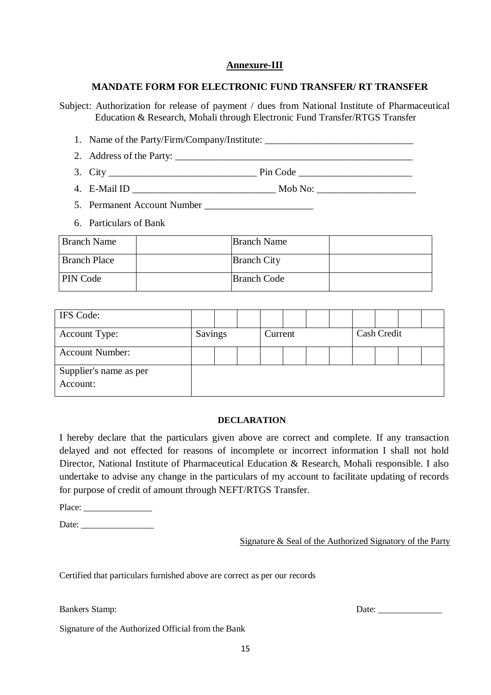#### **Annexure-III**

#### **MANDATE FORM FOR ELECTRONIC FUND TRANSFER/ RT TRANSFER**

Subject: Authorization for release of payment / dues from National Institute of Pharmaceutical Education & Research, Mohali through Electronic Fund Transfer/RTGS Transfer

- 1. Name of the Party/Firm/Company/Institute:
- 2. Address of the Party: \_\_\_\_\_\_\_\_\_\_\_\_\_\_\_\_\_\_\_\_\_\_\_\_\_\_\_\_\_\_\_\_\_\_\_\_\_\_\_\_\_\_\_\_\_\_\_\_
- 3. City \_\_\_\_\_\_\_\_\_\_\_\_\_\_\_\_\_\_\_\_\_\_\_\_\_\_\_\_\_\_ Pin Code \_\_\_\_\_\_\_\_\_\_\_\_\_\_\_\_\_\_\_\_\_\_\_
- 4. E-Mail ID \_\_\_\_\_\_\_\_\_\_\_\_\_\_\_\_\_\_\_\_\_\_\_\_\_\_\_\_\_ Mob No: \_\_\_\_\_\_\_\_\_\_\_\_\_\_\_\_\_\_\_\_
- 5. Permanent Account Number
- 6. Particulars of Bank

| <b>Branch Name</b>  | <b>Branch Name</b> |  |
|---------------------|--------------------|--|
| <b>Branch Place</b> | <b>Branch City</b> |  |
| <b>PIN</b> Code     | <b>Branch Code</b> |  |

| IFS Code:              |         |  |         |  |  |             |  |
|------------------------|---------|--|---------|--|--|-------------|--|
| <b>Account Type:</b>   | Savings |  | Current |  |  | Cash Credit |  |
| <b>Account Number:</b> |         |  |         |  |  |             |  |
| Supplier's name as per |         |  |         |  |  |             |  |
| Account:               |         |  |         |  |  |             |  |

#### **DECLARATION**

I hereby declare that the particulars given above are correct and complete. If any transaction delayed and not effected for reasons of incomplete or incorrect information I shall not hold Director, National Institute of Pharmaceutical Education & Research, Mohali responsible. I also undertake to advise any change in the particulars of my account to facilitate updating of records for purpose of credit of amount through NEFT/RTGS Transfer.

Place: \_\_\_\_\_\_\_\_\_\_\_\_\_\_\_

Date: \_\_\_\_\_\_\_\_\_\_\_\_\_\_\_\_

Signature & Seal of the Authorized Signatory of the Party

Certified that particulars furnished above are correct as per our records

Signature of the Authorized Official from the Bank

Bankers Stamp: Date: \_\_\_\_\_\_\_\_\_\_\_\_\_\_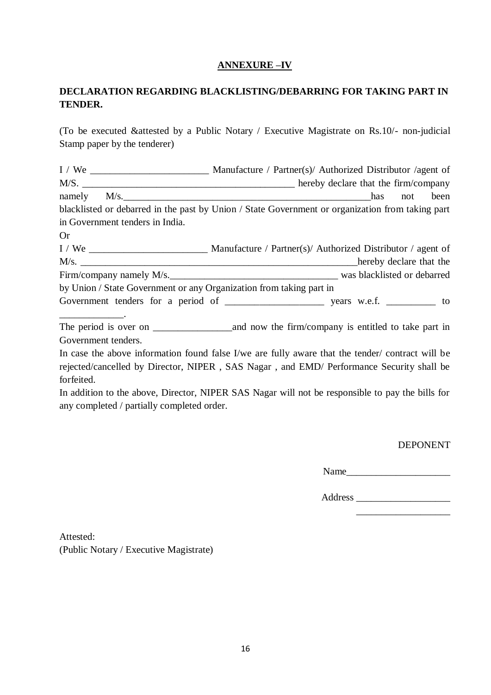#### **ANNEXURE –IV**

#### **DECLARATION REGARDING BLACKLISTING/DEBARRING FOR TAKING PART IN TENDER.**

(To be executed &attested by a Public Notary / Executive Magistrate on Rs.10/- non-judicial Stamp paper by the tenderer)

|                                                                     | namely M/s.<br>been<br>not                                                                       |
|---------------------------------------------------------------------|--------------------------------------------------------------------------------------------------|
|                                                                     | blacklisted or debarred in the past by Union / State Government or organization from taking part |
| in Government tenders in India.                                     |                                                                                                  |
| <b>Or</b>                                                           |                                                                                                  |
|                                                                     |                                                                                                  |
|                                                                     | M/s. hereby declare that the                                                                     |
|                                                                     |                                                                                                  |
| by Union / State Government or any Organization from taking part in |                                                                                                  |
|                                                                     |                                                                                                  |

The period is over on \_\_\_\_\_\_\_\_\_\_\_\_\_\_\_\_and now the firm/company is entitled to take part in Government tenders.

In case the above information found false I/we are fully aware that the tender/ contract will be rejected/cancelled by Director, NIPER , SAS Nagar , and EMD/ Performance Security shall be forfeited.

In addition to the above, Director, NIPER SAS Nagar will not be responsible to pay the bills for any completed / partially completed order.

DEPONENT

Name\_\_\_\_\_\_\_\_\_\_\_\_\_\_\_\_\_\_\_\_\_

Address \_\_\_\_\_\_\_\_\_\_\_\_\_\_\_\_\_\_\_

\_\_\_\_\_\_\_\_\_\_\_\_\_\_\_\_\_\_\_

Attested: (Public Notary / Executive Magistrate)